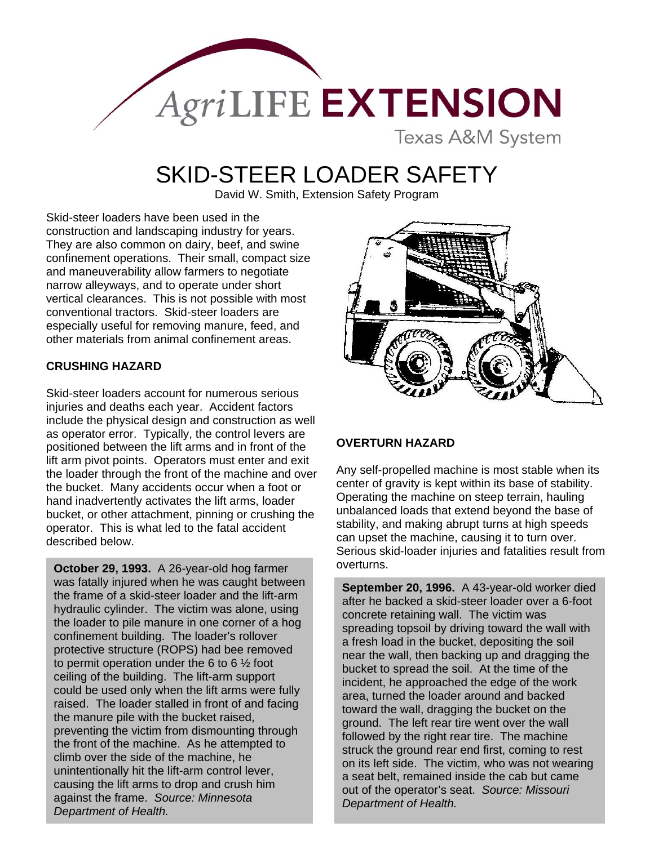

# SKID-STEER LOADER SAFETY

David W. Smith, Extension Safety Program

Skid-steer loaders have been used in the construction and landscaping industry for years. They are also common on dairy, beef, and swine confinement operations. Their small, compact size and maneuverability allow farmers to negotiate narrow alleyways, and to operate under short vertical clearances. This is not possible with most conventional tractors. Skid-steer loaders are especially useful for removing manure, feed, and other materials from animal confinement areas.

# **CRUSHING HAZARD**

Skid-steer loaders account for numerous serious injuries and deaths each year. Accident factors include the physical design and construction as well as operator error. Typically, the control levers are positioned between the lift arms and in front of the lift arm pivot points. Operators must enter and exit the loader through the front of the machine and over the bucket. Many accidents occur when a foot or hand inadvertently activates the lift arms, loader bucket, or other attachment, pinning or crushing the operator. This is what led to the fatal accident described below.

**October 29, 1993.** A 26-year-old hog farmer overturns. was fatally injured when he was caught between the frame of a skid-steer loader and the lift-arm hydraulic cylinder. The victim was alone, using the loader to pile manure in one corner of a hog confinement building. The loader's rollover protective structure (ROPS) had bee removed to permit operation under the 6 to 6 ½ foot ceiling of the building. The lift-arm support could be used only when the lift arms were fully raised. The loader stalled in front of and facing the manure pile with the bucket raised, preventing the victim from dismounting through the front of the machine. As he attempted to climb over the side of the machine, he unintentionally hit the lift-arm control lever, causing the lift arms to drop and crush him against the frame. *Source: Minnesota Department of Health.*



## **OVERTURN HAZARD**

Any self-propelled machine is most stable when its center of gravity is kept within its base of stability. Operating the machine on steep terrain, hauling unbalanced loads that extend beyond the base of stability, and making abrupt turns at high speeds can upset the machine, causing it to turn over. Serious skid-loader injuries and fatalities result from

**September 20, 1996.** A 43-year-old worker died after he backed a skid-steer loader over a 6-foot concrete retaining wall. The victim was spreading topsoil by driving toward the wall with a fresh load in the bucket, depositing the soil near the wall, then backing up and dragging the bucket to spread the soil. At the time of the incident, he approached the edge of the work area, turned the loader around and backed toward the wall, dragging the bucket on the ground. The left rear tire went over the wall followed by the right rear tire. The machine struck the ground rear end first, coming to rest on its left side. The victim, who was not wearing a seat belt, remained inside the cab but came out of the operator's seat. *Source: Missouri Department of Health.*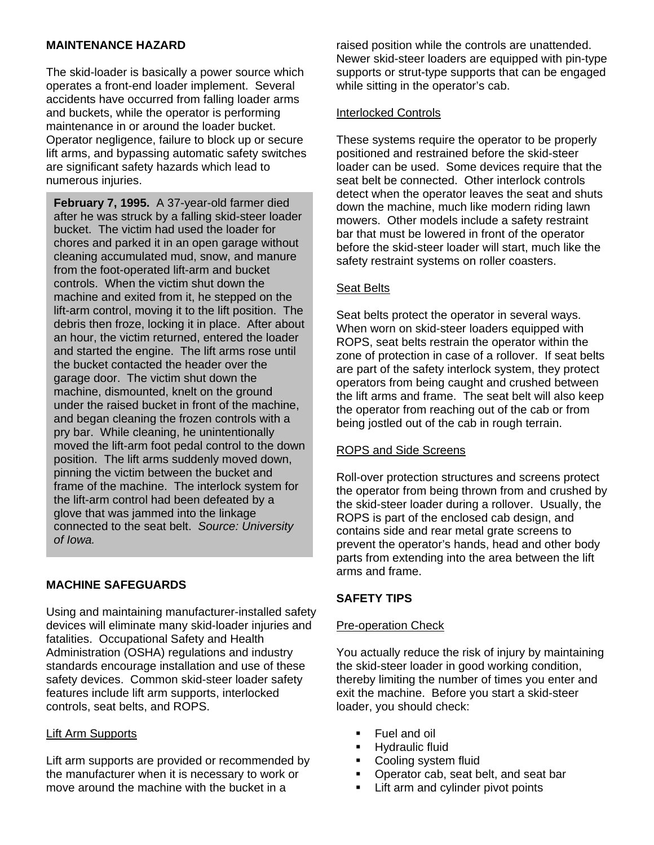# **MAINTENANCE HAZARD**

The skid-loader is basically a power source which operates a front-end loader implement. Several accidents have occurred from falling loader arms and buckets, while the operator is performing maintenance in or around the loader bucket. Operator negligence, failure to block up or secure lift arms, and bypassing automatic safety switches are significant safety hazards which lead to numerous injuries.

**February 7, 1995.** A 37-year-old farmer died after he was struck by a falling skid-steer loader bucket. The victim had used the loader for chores and parked it in an open garage without cleaning accumulated mud, snow, and manure from the foot-operated lift-arm and bucket controls. When the victim shut down the machine and exited from it, he stepped on the lift-arm control, moving it to the lift position. The debris then froze, locking it in place. After about an hour, the victim returned, entered the loader and started the engine. The lift arms rose until the bucket contacted the header over the garage door. The victim shut down the machine, dismounted, knelt on the ground under the raised bucket in front of the machine, and began cleaning the frozen controls with a pry bar. While cleaning, he unintentionally moved the lift-arm foot pedal control to the down position. The lift arms suddenly moved down, pinning the victim between the bucket and frame of the machine. The interlock system for the lift-arm control had been defeated by a glove that was jammed into the linkage connected to the seat belt. *Source: University of Iowa.*

# **MACHINE SAFEGUARDS**

Using and maintaining manufacturer-installed safety devices will eliminate many skid-loader injuries and fatalities. Occupational Safety and Health Administration (OSHA) regulations and industry standards encourage installation and use of these safety devices. Common skid-steer loader safety features include lift arm supports, interlocked controls, seat belts, and ROPS.

## Lift Arm Supports

Lift arm supports are provided or recommended by the manufacturer when it is necessary to work or move around the machine with the bucket in a

raised position while the controls are unattended. Newer skid-steer loaders are equipped with pin-type supports or strut-type supports that can be engaged while sitting in the operator's cab.

### Interlocked Controls

These systems require the operator to be properly positioned and restrained before the skid-steer loader can be used. Some devices require that the seat belt be connected. Other interlock controls detect when the operator leaves the seat and shuts down the machine, much like modern riding lawn mowers. Other models include a safety restraint bar that must be lowered in front of the operator before the skid-steer loader will start, much like the safety restraint systems on roller coasters.

## Seat Belts

Seat belts protect the operator in several ways. When worn on skid-steer loaders equipped with ROPS, seat belts restrain the operator within the zone of protection in case of a rollover. If seat belts are part of the safety interlock system, they protect operators from being caught and crushed between the lift arms and frame. The seat belt will also keep the operator from reaching out of the cab or from being jostled out of the cab in rough terrain.

#### ROPS and Side Screens

Roll-over protection structures and screens protect the operator from being thrown from and crushed by the skid-steer loader during a rollover. Usually, the ROPS is part of the enclosed cab design, and contains side and rear metal grate screens to prevent the operator's hands, head and other body parts from extending into the area between the lift arms and frame.

# **SAFETY TIPS**

## Pre-operation Check

You actually reduce the risk of injury by maintaining the skid-steer loader in good working condition, thereby limiting the number of times you enter and exit the machine. Before you start a skid-steer loader, you should check:

- Fuel and oil
- Hydraulic fluid
- Cooling system fluid
- Operator cab, seat belt, and seat bar
- **EXECUTE:** Lift arm and cylinder pivot points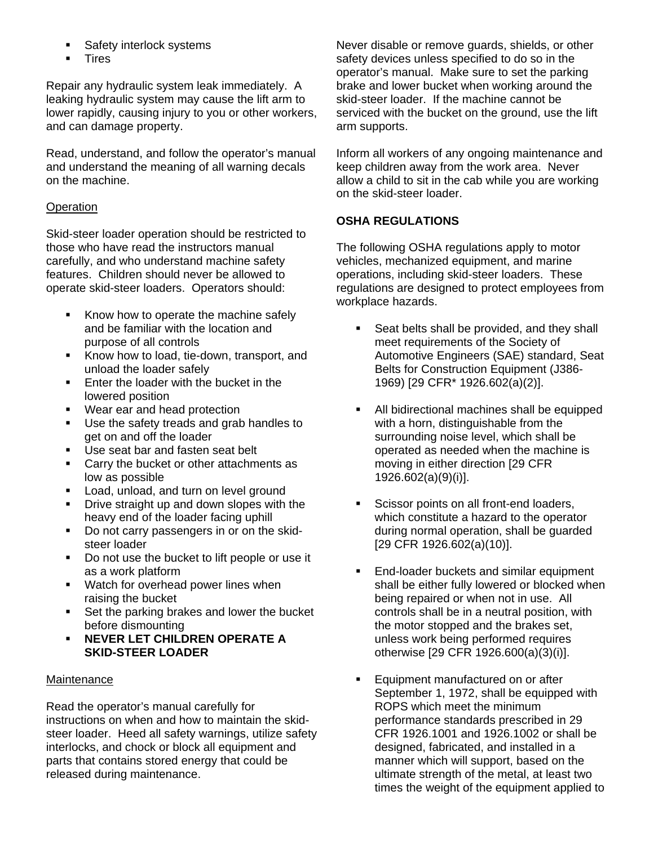- Safety interlock systems
- **Tires**

Repair any hydraulic system leak immediately. A leaking hydraulic system may cause the lift arm to lower rapidly, causing injury to you or other workers, and can damage property.

Read, understand, and follow the operator's manual and understand the meaning of all warning decals on the machine.

# **Operation**

Skid-steer loader operation should be restricted to those who have read the instructors manual carefully, and who understand machine safety features. Children should never be allowed to operate skid-steer loaders. Operators should:

- Know how to operate the machine safely and be familiar with the location and purpose of all controls
- Know how to load, tie-down, transport, and unload the loader safely
- **Enter the loader with the bucket in the** lowered position
- Wear ear and head protection
- Use the safety treads and grab handles to get on and off the loader
- Use seat bar and fasten seat belt
- **Carry the bucket or other attachments as** low as possible
- **Load, unload, and turn on level ground**
- **Drive straight up and down slopes with the** heavy end of the loader facing uphill
- Do not carry passengers in or on the skidsteer loader
- Do not use the bucket to lift people or use it as a work platform
- **Watch for overhead power lines when** raising the bucket
- Set the parking brakes and lower the bucket before dismounting
- **NEVER LET CHILDREN OPERATE A SKID-STEER LOADER**

## **Maintenance**

Read the operator's manual carefully for instructions on when and how to maintain the skidsteer loader. Heed all safety warnings, utilize safety interlocks, and chock or block all equipment and parts that contains stored energy that could be released during maintenance.

Never disable or remove guards, shields, or other safety devices unless specified to do so in the operator's manual. Make sure to set the parking brake and lower bucket when working around the skid-steer loader. If the machine cannot be serviced with the bucket on the ground, use the lift arm supports.

Inform all workers of any ongoing maintenance and keep children away from the work area. Never allow a child to sit in the cab while you are working on the skid-steer loader.

# **OSHA REGULATIONS**

The following OSHA regulations apply to motor vehicles, mechanized equipment, and marine operations, including skid-steer loaders. These regulations are designed to protect employees from workplace hazards.

- Seat belts shall be provided, and they shall meet requirements of the Society of Automotive Engineers (SAE) standard, Seat Belts for Construction Equipment (J386- 1969) [29 CFR\* 1926.602(a)(2)].
- All bidirectional machines shall be equipped with a horn, distinguishable from the surrounding noise level, which shall be operated as needed when the machine is moving in either direction [29 CFR 1926.602(a)(9)(i)].
- Scissor points on all front-end loaders, which constitute a hazard to the operator during normal operation, shall be guarded [29 CFR 1926.602(a)(10)].
- **End-loader buckets and similar equipment** shall be either fully lowered or blocked when being repaired or when not in use. All controls shall be in a neutral position, with the motor stopped and the brakes set, unless work being performed requires otherwise [29 CFR 1926.600(a)(3)(i)].
- Equipment manufactured on or after September 1, 1972, shall be equipped with ROPS which meet the minimum performance standards prescribed in 29 CFR 1926.1001 and 1926.1002 or shall be designed, fabricated, and installed in a manner which will support, based on the ultimate strength of the metal, at least two times the weight of the equipment applied to